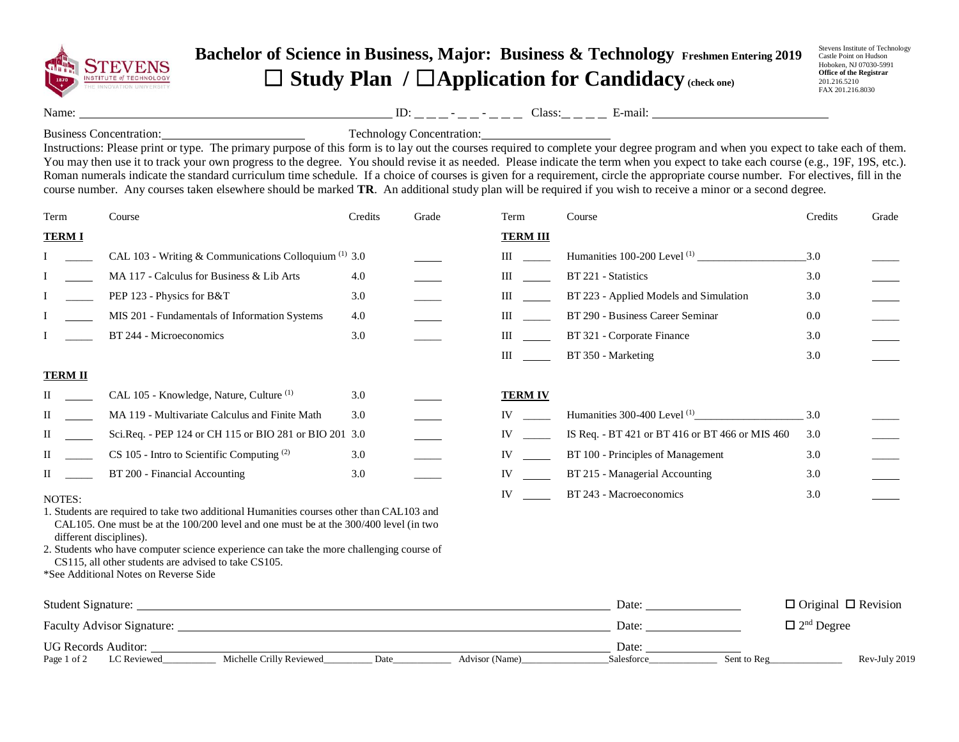

## **Bachelor of Science in Business, Major: Business & Technology Freshmen Entering 2019** ☐ **Study Plan /** ☐**Application for Candidacy (check one)**

Stevens Institute of Technology Castle Point on Hudson Hoboken, NJ 07030-5991 **Office of the Registrar** 201.216.5210 FAX 201.216.8030

Name: ID: - - Class: E-mail:

Business Concentration: Technology Concentration:

Instructions: Please print or type. The primary purpose of this form is to lay out the courses required to complete your degree program and when you expect to take each of them. You may then use it to track your own progress to the degree. You should revise it as needed. Please indicate the term when you expect to take each course (e.g., 19F, 19S, etc.). Roman numerals indicate the standard curriculum time schedule. If a choice of courses is given for a requirement, circle the appropriate course number. For electives, fill in the course number. Any courses taken elsewhere should be marked **TR**. An additional study plan will be required if you wish to receive a minor or a second degree.

| Term           | Course                                                                                                                                                                                                           | Credits | Grade | Term            | Course                                          | Credits                         | Grade |
|----------------|------------------------------------------------------------------------------------------------------------------------------------------------------------------------------------------------------------------|---------|-------|-----------------|-------------------------------------------------|---------------------------------|-------|
| <b>TERMI</b>   |                                                                                                                                                                                                                  |         |       | <b>TERM III</b> |                                                 |                                 |       |
|                | CAL 103 - Writing & Communications Colloquium $(1)$ 3.0                                                                                                                                                          |         |       | Ш               |                                                 | $-3.0$                          |       |
|                | MA 117 - Calculus for Business & Lib Arts                                                                                                                                                                        | 4.0     |       | Ш               | BT 221 - Statistics                             | 3.0                             |       |
|                | PEP 123 - Physics for B&T                                                                                                                                                                                        | 3.0     |       | Ш               | BT 223 - Applied Models and Simulation          | 3.0                             |       |
|                | MIS 201 - Fundamentals of Information Systems                                                                                                                                                                    | 4.0     |       | Ш               | BT 290 - Business Career Seminar                | 0.0                             |       |
|                | BT 244 - Microeconomics                                                                                                                                                                                          | 3.0     |       | Ш               | BT 321 - Corporate Finance                      | 3.0                             |       |
|                |                                                                                                                                                                                                                  |         |       | Ш               | BT 350 - Marketing                              | 3.0                             |       |
| <b>TERM II</b> |                                                                                                                                                                                                                  |         |       |                 |                                                 |                                 |       |
|                | CAL 105 - Knowledge, Nature, Culture <sup>(1)</sup>                                                                                                                                                              | 3.0     |       | <b>TERM IV</b>  |                                                 |                                 |       |
| П              | MA 119 - Multivariate Calculus and Finite Math                                                                                                                                                                   | 3.0     |       | IV              | Humanities 300-400 Level <sup>(1)</sup>         | 3.0                             |       |
| П              | Sci.Req. - PEP 124 or CH 115 or BIO 281 or BIO 201                                                                                                                                                               | 3.0     |       | IV              | IS Req. - BT 421 or BT 416 or BT 466 or MIS 460 | 3.0                             |       |
| П              | $CS$ 105 - Intro to Scientific Computing $(2)$                                                                                                                                                                   | 3.0     |       | IV              | BT 100 - Principles of Management               | 3.0                             |       |
| П              | BT 200 - Financial Accounting                                                                                                                                                                                    | 3.0     |       | IV              | BT 215 - Managerial Accounting                  | 3.0                             |       |
| NOTES:         | 1. Students are required to take two additional Humanities courses other than CAL103 and<br>CAL105. One must be at the $100/200$ level and one must be at the $300/400$ level (in two<br>different disciplines). |         |       | IV              | BT 243 - Macroeconomics                         | 3.0                             |       |
|                | 2. Students who have computer science experience can take the more challenging course of<br>CS115, all other students are advised to take CS105.<br>*See Additional Notes on Reverse Side                        |         |       |                 |                                                 |                                 |       |
|                |                                                                                                                                                                                                                  |         |       |                 | Date:                                           | $\Box$ Original $\Box$ Revision |       |
|                | <b>Faculty Advisor Signature:</b>                                                                                                                                                                                |         |       |                 | Date:                                           | $\Box$ 2 <sup>nd</sup> Degree   |       |

Page 1 of 2 LC Reviewed Michelle Crilly Reviewed Date Advisor (Name) Salesforce Sent to Reg Rev-July 2019

UG Records Auditor: and Date: <u>Date:</u> Date: Date: Date: Date: Date: Date: Date: Date: Date: Date: Date: Date: Date: Date: Date: Date: Date: Date: Date: Date: Date: Date: Date: Date: Date: Date: Date: Date: Date: Date: Date